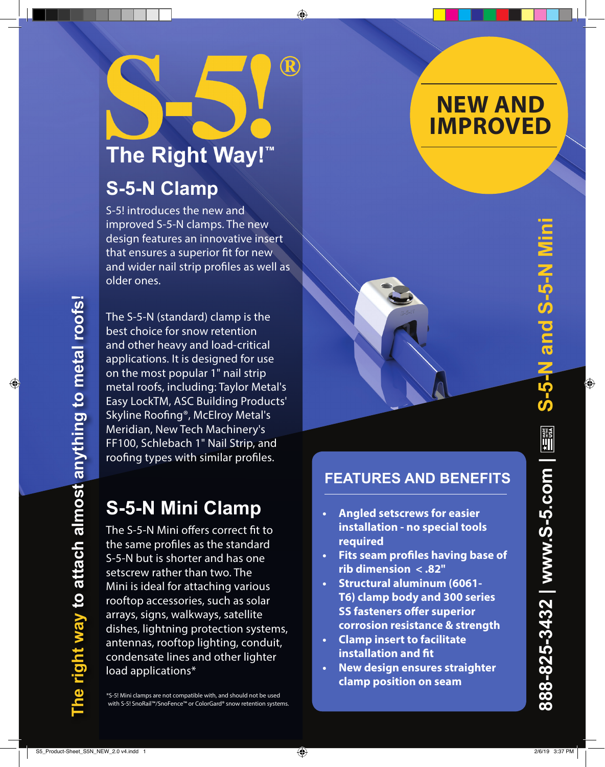# The Right Way!™

◈

 $\bf R$ 

### **S-5-N Clamp**

S-5! introduces the new and improved S-5-N clamps. The new design features an innovative insert that ensures a superior fit for new and wider nail strip profiles as well as older ones.

The S-5-N (standard) clamp is the best choice for snow retention and other heavy and load-critical applications. It is designed for use on the most popular 1" nail strip metal roofs, including: Taylor Metal's Easy LockTM, ASC Building Products' Skyline Roofing®, McElroy Metal's Meridian, New Tech Machinery's FF100, Schlebach 1" Nail Strip, and roofing types with similar profiles.

## **S-5-N Mini Clamp**

The S-5-N Mini offers correct fit to the same profiles as the standard S-5-N but is shorter and has one setscrew rather than two. The Mini is ideal for attaching various rooftop accessories, such as solar arrays, signs, walkways, satellite dishes, lightning protection systems, antennas, rooftop lighting, conduit, condensate lines and other lighter load applications\*

\*S-5! Mini clamps are not compatible with, and should not be used with S-5! SnoRail™/SnoFence™ or ColorGard® snow retention systems.

# **NEW AND IMPROVED**

⊕

### **FEATURES AND BENEFITS**

- **• Angled setscrews for easier installation - no special tools required**
- **• Fits seam profiles having base of rib dimension < .82"**
- **• Structural aluminum (6061- T6) clamp body and 300 series SS fasteners offer superior corrosion resistance & strength**
- **• Clamp insert to facilitate installation and fit**
- **• New design ensures straighter clamp position on seam**

 $\bigoplus$ 

**The right way to attach almost anything to metal roofs!** 

ght way to attach almost anything to metal roofs!